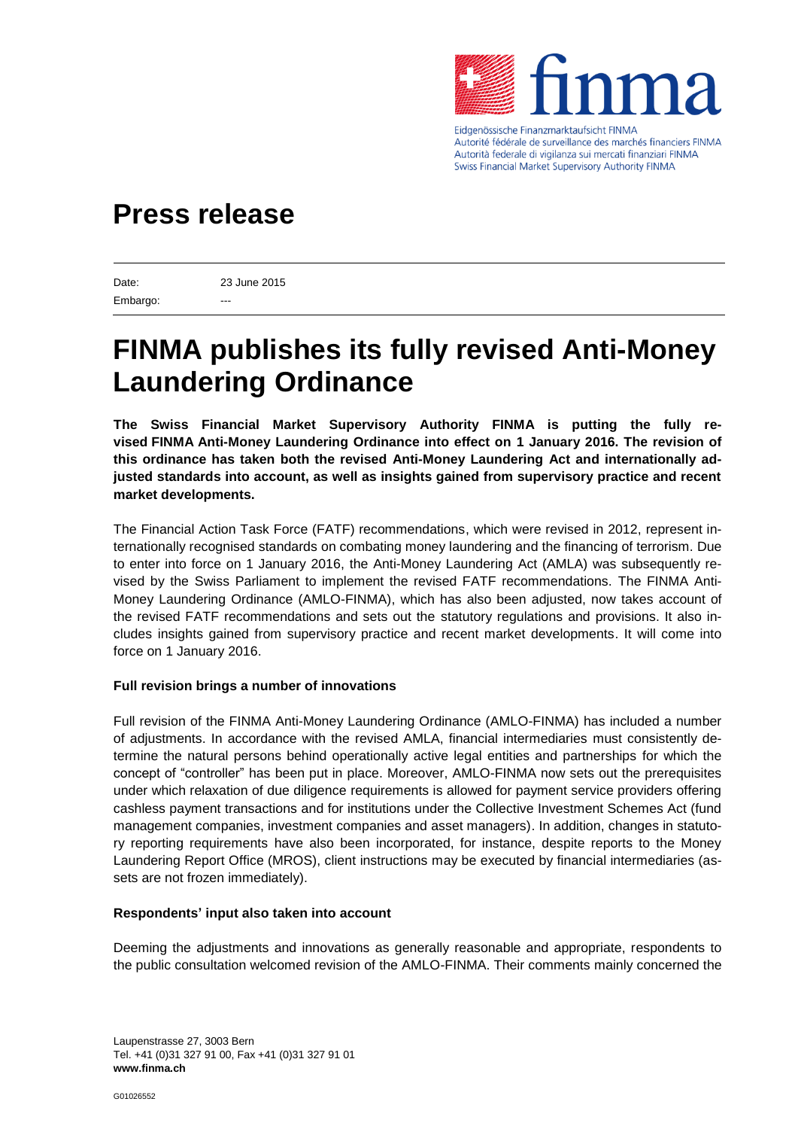

Eidgenössische Finanzmarktaufsicht FINMA Autorité fédérale de surveillance des marchés financiers FINMA Autorità federale di vigilanza sui mercati finanziari FINMA Swiss Financial Market Supervisory Authority FINMA

## **Press release**

Date: 23 June 2015 Embargo:

# **FINMA publishes its fully revised Anti-Money Laundering Ordinance**

**The Swiss Financial Market Supervisory Authority FINMA is putting the fully revised FINMA Anti-Money Laundering Ordinance into effect on 1 January 2016. The revision of this ordinance has taken both the revised Anti-Money Laundering Act and internationally adjusted standards into account, as well as insights gained from supervisory practice and recent market developments.** 

The Financial Action Task Force (FATF) recommendations, which were revised in 2012, represent internationally recognised standards on combating money laundering and the financing of terrorism. Due to enter into force on 1 January 2016, the Anti-Money Laundering Act (AMLA) was subsequently revised by the Swiss Parliament to implement the revised FATF recommendations. The FINMA Anti-Money Laundering Ordinance (AMLO-FINMA), which has also been adjusted, now takes account of the revised FATF recommendations and sets out the statutory regulations and provisions. It also includes insights gained from supervisory practice and recent market developments. It will come into force on 1 January 2016.

### **Full revision brings a number of innovations**

Full revision of the FINMA Anti-Money Laundering Ordinance (AMLO-FINMA) has included a number of adjustments. In accordance with the revised AMLA, financial intermediaries must consistently determine the natural persons behind operationally active legal entities and partnerships for which the concept of "controller" has been put in place. Moreover, AMLO-FINMA now sets out the prerequisites under which relaxation of due diligence requirements is allowed for payment service providers offering cashless payment transactions and for institutions under the Collective Investment Schemes Act (fund management companies, investment companies and asset managers). In addition, changes in statutory reporting requirements have also been incorporated, for instance, despite reports to the Money Laundering Report Office (MROS), client instructions may be executed by financial intermediaries (assets are not frozen immediately).

#### **Respondents' input also taken into account**

Deeming the adjustments and innovations as generally reasonable and appropriate, respondents to the public consultation welcomed revision of the AMLO-FINMA. Their comments mainly concerned the